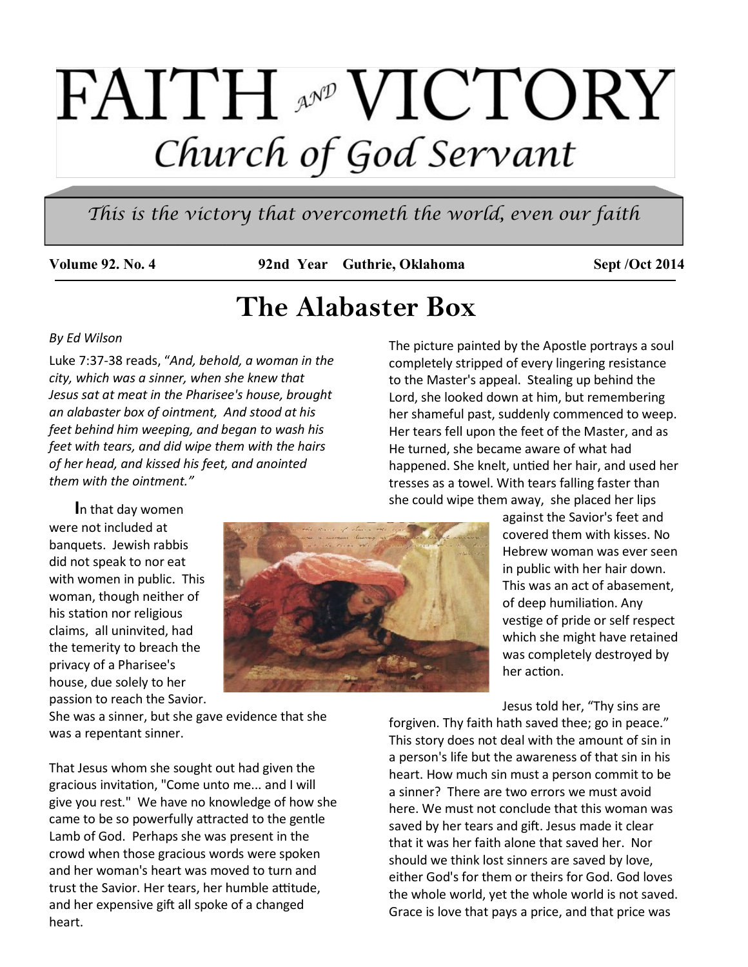# **FAITH AND VICTORY** Church of God Servant

*This is the victory that overcometh the world, even our faith* 

Volume 92. No. 4 92nd Year Guthrie, Oklahoma Sept /Oct 2014

## **The Alabaster Box**

#### *By Ed Wilson*

Luke 7:37-38 reads, "*And, behold, a woman in the city, which was a sinner, when she knew that Jesus sat at meat in the Pharisee's house, brought an alabaster box of ointment, And stood at his feet behind him weeping, and began to wash his feet with tears, and did wipe them with the hairs of her head, and kissed his feet, and anointed them with the ointment."*

The picture painted by the Apostle portrays a soul completely stripped of every lingering resistance to the Master's appeal. Stealing up behind the Lord, she looked down at him, but remembering her shameful past, suddenly commenced to weep. Her tears fell upon the feet of the Master, and as He turned, she became aware of what had happened. She knelt, untied her hair, and used her tresses as a towel. With tears falling faster than she could wipe them away, she placed her lips

 **I**n that day women were not included at banquets. Jewish rabbis did not speak to nor eat with women in public. This woman, though neither of his station nor religious claims, all uninvited, had the temerity to breach the privacy of a Pharisee's house, due solely to her passion to reach the Savior.



against the Savior's feet and covered them with kisses. No Hebrew woman was ever seen in public with her hair down. This was an act of abasement, of deep humiliation. Any vestige of pride or self respect which she might have retained was completely destroyed by her action.

Jesus told her, "Thy sins are

forgiven. Thy faith hath saved thee; go in peace." This story does not deal with the amount of sin in a person's life but the awareness of that sin in his heart. How much sin must a person commit to be a sinner? There are two errors we must avoid here. We must not conclude that this woman was saved by her tears and gift. Jesus made it clear that it was her faith alone that saved her. Nor should we think lost sinners are saved by love, either God's for them or theirs for God. God loves the whole world, yet the whole world is not saved. Grace is love that pays a price, and that price was

She was a sinner, but she gave evidence that she was a repentant sinner.

That Jesus whom she sought out had given the gracious invitation, "Come unto me... and I will give you rest." We have no knowledge of how she came to be so powerfully attracted to the gentle Lamb of God. Perhaps she was present in the crowd when those gracious words were spoken and her woman's heart was moved to turn and trust the Savior. Her tears, her humble attitude, and her expensive gift all spoke of a changed heart.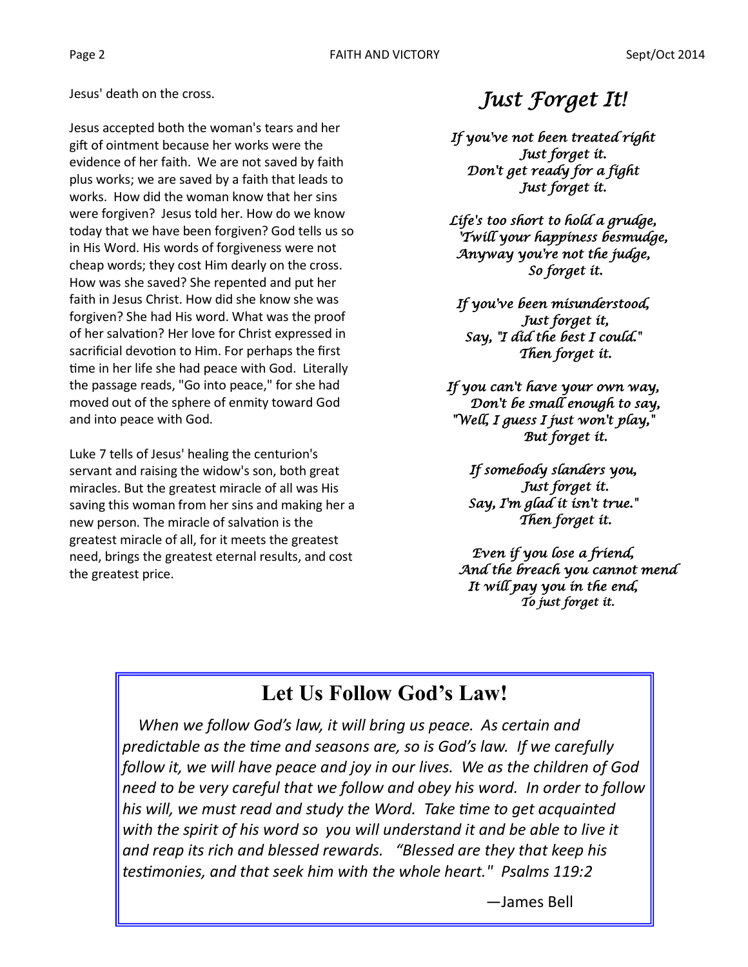Jesus' death on the cross.

Jesus accepted both the woman's tears and her gift of ointment because her works were the evidence of her faith. We are not saved by faith plus works; we are saved by a faith that leads to works. How did the woman know that her sins were forgiven? Jesus told her. How do we know today that we have been forgiven? God tells us so in His Word. His words of forgiveness were not cheap words; they cost Him dearly on the cross. How was she saved? She repented and put her faith in Jesus Christ. How did she know she was forgiven? She had His word. What was the proof of her salvation? Her love for Christ expressed in sacrificial devotion to Him. For perhaps the first time in her life she had peace with God. Literally the passage reads, "Go into peace," for she had moved out of the sphere of enmity toward God and into peace with God.

Luke 7 tells of Jesus' healing the centurion's servant and raising the widow's son, both great miracles. But the greatest miracle of all was His saving this woman from her sins and making her a new person. The miracle of salvation is the greatest miracle of all, for it meets the greatest need, brings the greatest eternal results, and cost the greatest price.

### *Just Forget It!*

*If you've not been treated right Just forget it. Don't get ready for a fight Just forget it.* 

*Life's too short to hold a grudge, 'Twill your happiness besmudge, Anyway you're not the judge, So forget it.* 

*If you've been misunderstood, Just forget it, Say, "I did the best I could." Then forget it.* 

*If you can't have your own way, Don't be small enough to say, "Well, I guess I just won't play," But forget it.* 

> *If somebody slanders you, Just forget it. Say, I'm glad it isn't true." Then forget it.*

*Even if you lose a friend, And the breach you cannot mend It will pay you in the end, To just forget it.* 

### **Let Us Follow God's Law!**

 *When we follow God's law, it will bring us peace. As certain and predictable as the time and seasons are, so is God's law. If we carefully follow it, we will have peace and joy in our lives. We as the children of God need to be very careful that we follow and obey his word. In order to follow his will, we must read and study the Word. Take time to get acquainted with the spirit of his word so you will understand it and be able to live it and reap its rich and blessed rewards. "Blessed are they that keep his testimonies, and that seek him with the whole heart." Psalms 119:2*

—James Bell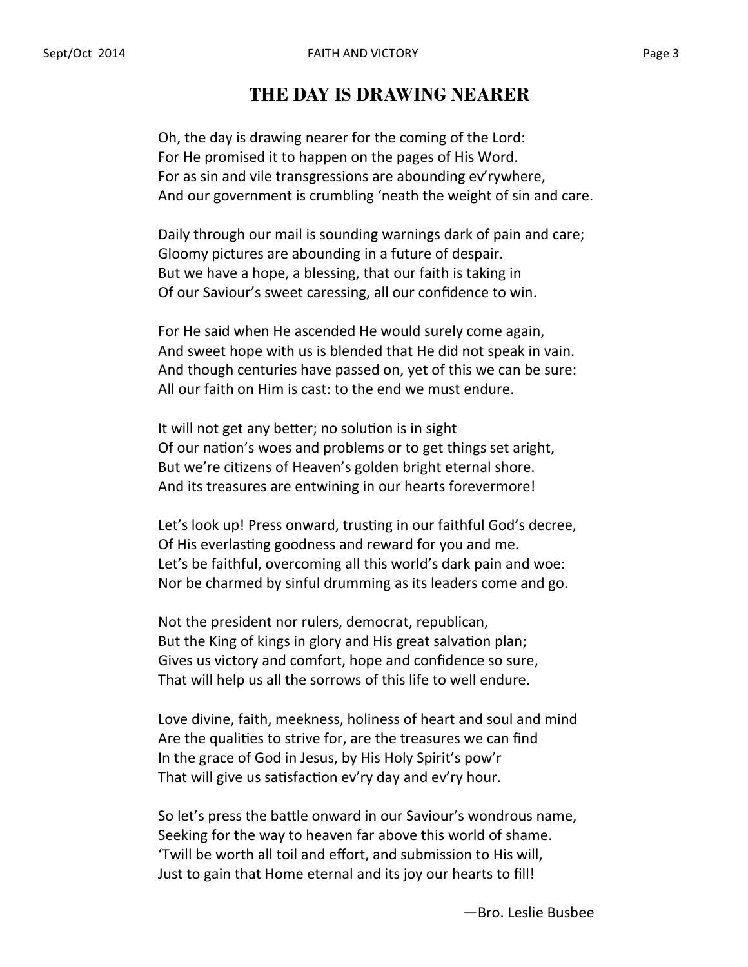#### **THE DAY IS DRAWING NEARER**

Oh, the day is drawing nearer for the coming of the Lord: For He promised it to happen on the pages of His Word. For as sin and vile transgressions are abounding ev'rywhere, And our government is crumbling 'neath the weight of sin and care.

Daily through our mail is sounding warnings dark of pain and care; Gloomy pictures are abounding in a future of despair. But we have a hope, a blessing, that our faith is taking in Of our Saviour's sweet caressing, all our confidence to win.

For He said when He ascended He would surely come again, And sweet hope with us is blended that He did not speak in vain. And though centuries have passed on, yet of this we can be sure: All our faith on Him is cast: to the end we must endure.

It will not get any better; no solution is in sight Of our nation's woes and problems or to get things set aright, But we're citizens of Heaven's golden bright eternal shore. And its treasures are entwining in our hearts forevermore!

Let's look up! Press onward, trusting in our faithful God's decree, Of His everlasting goodness and reward for you and me. Let's be faithful, overcoming all this world's dark pain and woe: Nor be charmed by sinful drumming as its leaders come and go.

Not the president nor rulers, democrat, republican, But the King of kings in glory and His great salvation plan; Gives us victory and comfort, hope and confidence so sure, That will help us all the sorrows of this life to well endure.

Love divine, faith, meekness, holiness of heart and soul and mind Are the qualities to strive for, are the treasures we can find In the grace of God in Jesus, by His Holy Spirit's pow'r That will give us satisfaction ev'ry day and ev'ry hour.

So let's press the battle onward in our Saviour's wondrous name, Seeking for the way to heaven far above this world of shame. 'Twill be worth all toil and effort, and submission to His will, Just to gain that Home eternal and its joy our hearts to fill!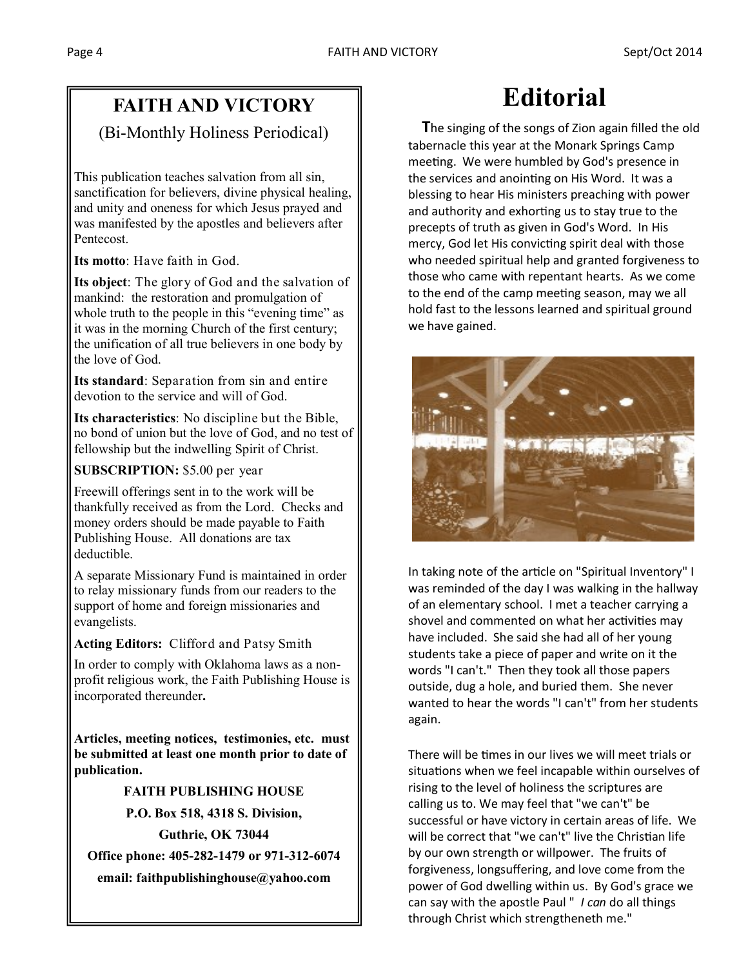### **FAITH AND VICTORY**

(Bi-Monthly Holiness Periodical)

This publication teaches salvation from all sin, sanctification for believers, divine physical healing, and unity and oneness for which Jesus prayed and was manifested by the apostles and believers after Pentecost.

**Its motto**: Have faith in God.

**Its object**: The glory of God and the salvation of mankind: the restoration and promulgation of whole truth to the people in this "evening time" as it was in the morning Church of the first century; the unification of all true believers in one body by the love of God.

**Its standard**: Separation from sin and entire devotion to the service and will of God.

**Its characteristics**: No discipline but the Bible, no bond of union but the love of God, and no test of fellowship but the indwelling Spirit of Christ.

#### **SUBSCRIPTION:** \$5.00 per year

Freewill offerings sent in to the work will be thankfully received as from the Lord. Checks and money orders should be made payable to Faith Publishing House. All donations are tax deductible.

A separate Missionary Fund is maintained in order to relay missionary funds from our readers to the support of home and foreign missionaries and evangelists.

#### **Acting Editors:** Clifford and Patsy Smith

In order to comply with Oklahoma laws as a nonprofit religious work, the Faith Publishing House is incorporated thereunder**.**

**Articles, meeting notices, testimonies, etc. must be submitted at least one month prior to date of publication.**

#### **FAITH PUBLISHING HOUSE**

**P.O. Box 518, 4318 S. Division, Guthrie, OK 73044**

**Office phone: 405-282-1479 or 971-312-6074 email: faithpublishinghouse@yahoo.com**

## **Editorial**

 **T**he singing of the songs of Zion again filled the old tabernacle this year at the Monark Springs Camp meeting. We were humbled by God's presence in the services and anointing on His Word. It was a blessing to hear His ministers preaching with power and authority and exhorting us to stay true to the precepts of truth as given in God's Word. In His mercy, God let His convicting spirit deal with those who needed spiritual help and granted forgiveness to those who came with repentant hearts. As we come to the end of the camp meeting season, may we all hold fast to the lessons learned and spiritual ground we have gained.



In taking note of the article on "Spiritual Inventory" I was reminded of the day I was walking in the hallway of an elementary school. I met a teacher carrying a shovel and commented on what her activities may have included. She said she had all of her young students take a piece of paper and write on it the words "I can't." Then they took all those papers outside, dug a hole, and buried them. She never wanted to hear the words "I can't" from her students again.

There will be times in our lives we will meet trials or situations when we feel incapable within ourselves of rising to the level of holiness the scriptures are calling us to. We may feel that "we can't" be successful or have victory in certain areas of life. We will be correct that "we can't" live the Christian life by our own strength or willpower. The fruits of forgiveness, longsuffering, and love come from the power of God dwelling within us. By God's grace we can say with the apostle Paul " *I can* do all things through Christ which strengtheneth me."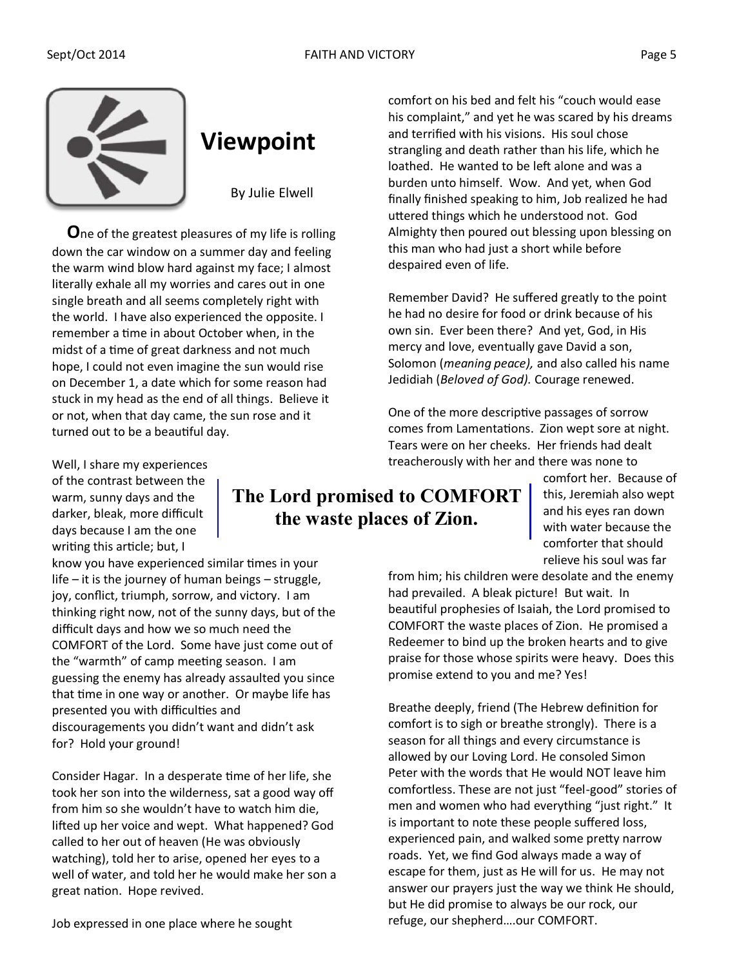

## **Viewpoint**

By Julie Elwell

 **O**ne of the greatest pleasures of my life is rolling down the car window on a summer day and feeling the warm wind blow hard against my face; I almost literally exhale all my worries and cares out in one single breath and all seems completely right with the world. I have also experienced the opposite. I remember a time in about October when, in the midst of a time of great darkness and not much hope, I could not even imagine the sun would rise on December 1, a date which for some reason had stuck in my head as the end of all things. Believe it or not, when that day came, the sun rose and it turned out to be a beautiful day.

comfort on his bed and felt his "couch would ease his complaint," and yet he was scared by his dreams and terrified with his visions. His soul chose strangling and death rather than his life, which he loathed. He wanted to be left alone and was a burden unto himself. Wow. And yet, when God finally finished speaking to him, Job realized he had uttered things which he understood not. God Almighty then poured out blessing upon blessing on this man who had just a short while before despaired even of life.

Remember David? He suffered greatly to the point he had no desire for food or drink because of his own sin. Ever been there? And yet, God, in His mercy and love, eventually gave David a son, Solomon (*meaning peace),* and also called his name Jedidiah (*Beloved of God).* Courage renewed.

One of the more descriptive passages of sorrow comes from Lamentations. Zion wept sore at night. Tears were on her cheeks. Her friends had dealt treacherously with her and there was none to

### **The Lord promised to COMFORT the waste places of Zion.**

comfort her. Because of this, Jeremiah also wept and his eyes ran down with water because the comforter that should relieve his soul was far

from him; his children were desolate and the enemy had prevailed. A bleak picture! But wait. In beautiful prophesies of Isaiah, the Lord promised to COMFORT the waste places of Zion. He promised a Redeemer to bind up the broken hearts and to give praise for those whose spirits were heavy. Does this promise extend to you and me? Yes!

Breathe deeply, friend (The Hebrew definition for comfort is to sigh or breathe strongly). There is a season for all things and every circumstance is allowed by our Loving Lord. He consoled Simon Peter with the words that He would NOT leave him comfortless. These are not just "feel-good" stories of men and women who had everything "just right." It is important to note these people suffered loss, experienced pain, and walked some pretty narrow roads. Yet, we find God always made a way of escape for them, just as He will for us. He may not answer our prayers just the way we think He should, but He did promise to always be our rock, our refuge, our shepherd….our COMFORT.

Well, I share my experiences of the contrast between the warm, sunny days and the darker, bleak, more difficult days because I am the one writing this article; but, I

know you have experienced similar times in your life – it is the journey of human beings – struggle, joy, conflict, triumph, sorrow, and victory. I am thinking right now, not of the sunny days, but of the difficult days and how we so much need the COMFORT of the Lord. Some have just come out of the "warmth" of camp meeting season. I am guessing the enemy has already assaulted you since that time in one way or another. Or maybe life has presented you with difficulties and discouragements you didn't want and didn't ask for? Hold your ground!

Consider Hagar. In a desperate time of her life, she took her son into the wilderness, sat a good way off from him so she wouldn't have to watch him die, lifted up her voice and wept. What happened? God called to her out of heaven (He was obviously watching), told her to arise, opened her eyes to a well of water, and told her he would make her son a great nation. Hope revived.

Job expressed in one place where he sought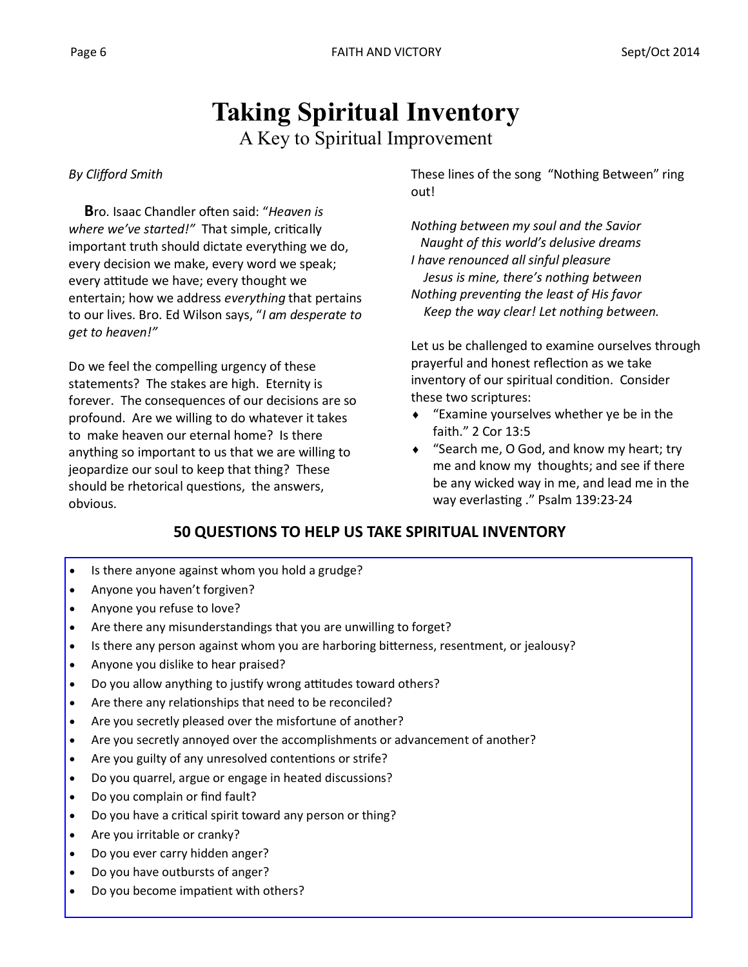## **Taking Spiritual Inventory**

A Key to Spiritual Improvement

#### *By Clifford Smith*

 **B**ro. Isaac Chandler often said: "*Heaven is where we've started!"* That simple, critically important truth should dictate everything we do, every decision we make, every word we speak; every attitude we have; every thought we entertain; how we address *everything* that pertains to our lives. Bro. Ed Wilson says, "*I am desperate to get to heaven!"* 

Do we feel the compelling urgency of these statements? The stakes are high. Eternity is forever. The consequences of our decisions are so profound. Are we willing to do whatever it takes to make heaven our eternal home? Is there anything so important to us that we are willing to jeopardize our soul to keep that thing? These should be rhetorical questions, the answers, obvious.

These lines of the song "Nothing Between" ring out!

*Nothing between my soul and the Savior Naught of this world's delusive dreams I have renounced all sinful pleasure Jesus is mine, there's nothing between Nothing preventing the least of His favor Keep the way clear! Let nothing between.*

Let us be challenged to examine ourselves through prayerful and honest reflection as we take inventory of our spiritual condition. Consider these two scriptures:

- "Examine yourselves whether ye be in the faith." 2 Cor 13:5
- ◆ "Search me, O God, and know my heart; try me and know my thoughts; and see if there be any wicked way in me, and lead me in the way everlasting ." Psalm 139:23-24

#### **50 QUESTIONS TO HELP US TAKE SPIRITUAL INVENTORY**

- Is there anyone against whom you hold a grudge?
- Anyone you haven't forgiven?
- Anyone you refuse to love?
- Are there any misunderstandings that you are unwilling to forget?
- Is there any person against whom you are harboring bitterness, resentment, or jealousy?
- Anyone you dislike to hear praised?
- Do you allow anything to justify wrong attitudes toward others?
- Are there any relationships that need to be reconciled?
- Are you secretly pleased over the misfortune of another?
- Are you secretly annoyed over the accomplishments or advancement of another?
- Are you guilty of any unresolved contentions or strife?
- Do you quarrel, argue or engage in heated discussions?
- Do you complain or find fault?
- Do you have a critical spirit toward any person or thing?
- Are you irritable or cranky?
- Do you ever carry hidden anger?
- Do you have outbursts of anger?
- Do you become impatient with others?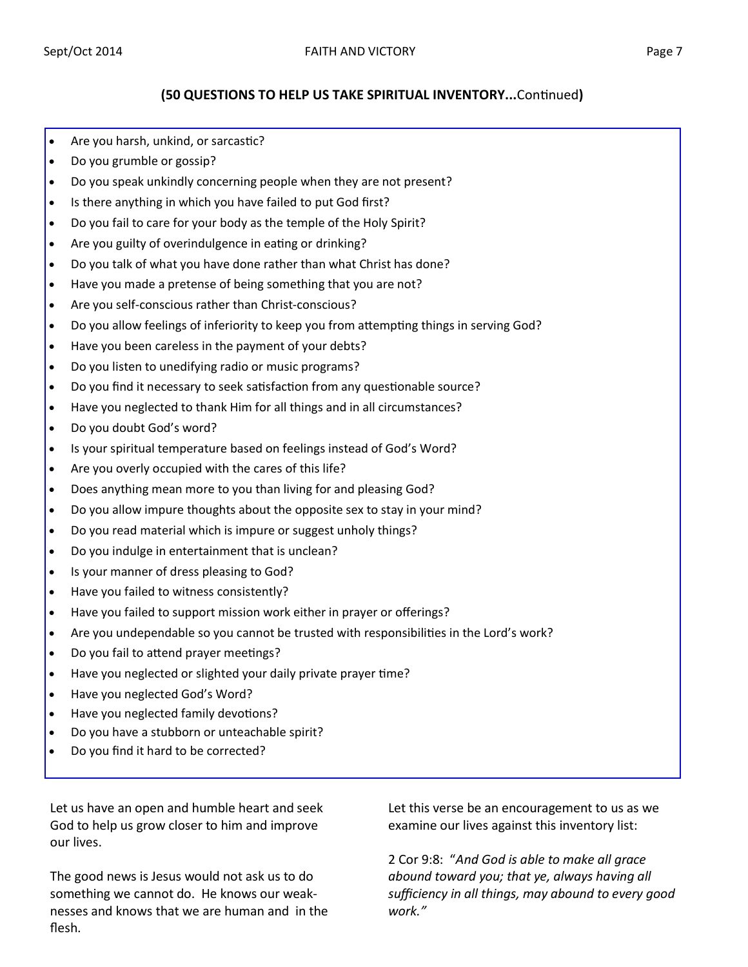#### **(50 QUESTIONS TO HELP US TAKE SPIRITUAL INVENTORY...**Continued**)**

- Are you harsh, unkind, or sarcastic?
- Do you grumble or gossip?
- Do you speak unkindly concerning people when they are not present?
- Is there anything in which you have failed to put God first?
- Do you fail to care for your body as the temple of the Holy Spirit?
- Are you guilty of overindulgence in eating or drinking?
- Do you talk of what you have done rather than what Christ has done?
- Have you made a pretense of being something that you are not?
- Are you self-conscious rather than Christ-conscious?
- Do you allow feelings of inferiority to keep you from attempting things in serving God?
- Have you been careless in the payment of your debts?
- Do you listen to unedifying radio or music programs?
- Do you find it necessary to seek satisfaction from any questionable source?
- Have you neglected to thank Him for all things and in all circumstances?
- Do you doubt God's word?
- Is your spiritual temperature based on feelings instead of God's Word?
- Are you overly occupied with the cares of this life?
- Does anything mean more to you than living for and pleasing God?
- Do you allow impure thoughts about the opposite sex to stay in your mind?
- Do you read material which is impure or suggest unholy things?
- Do you indulge in entertainment that is unclean?
- Is your manner of dress pleasing to God?
- Have you failed to witness consistently?
- Have you failed to support mission work either in prayer or offerings?
- Are you undependable so you cannot be trusted with responsibilities in the Lord's work?
- Do you fail to attend prayer meetings?
- Have you neglected or slighted your daily private prayer time?
- Have you neglected God's Word?
- Have you neglected family devotions?
- Do you have a stubborn or unteachable spirit?
- Do you find it hard to be corrected?

Let us have an open and humble heart and seek God to help us grow closer to him and improve our lives.

The good news is Jesus would not ask us to do something we cannot do. He knows our weaknesses and knows that we are human and in the flesh.

Let this verse be an encouragement to us as we examine our lives against this inventory list:

2 Cor 9:8: "*And God is able to make all grace abound toward you; that ye, always having all sufficiency in all things, may abound to every good work."*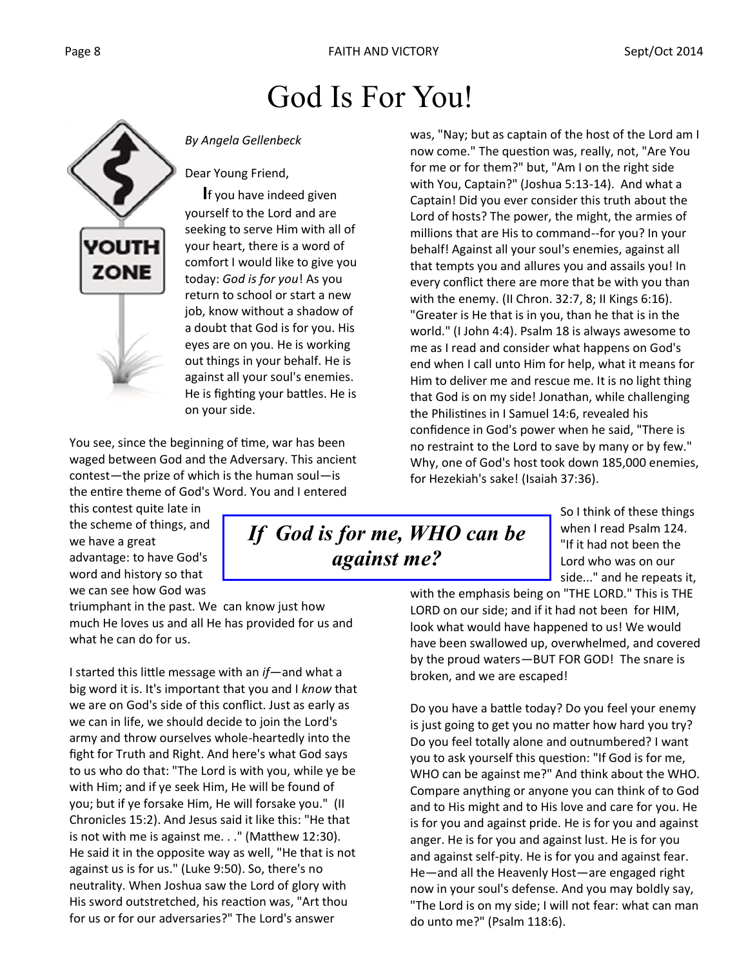## God Is For You!



*By Angela Gellenbeck*

Dear Young Friend,

 **I**f you have indeed given yourself to the Lord and are seeking to serve Him with all of your heart, there is a word of comfort I would like to give you today: *God is for you*! As you return to school or start a new job, know without a shadow of a doubt that God is for you. His eyes are on you. He is working out things in your behalf. He is against all your soul's enemies. He is fighting your battles. He is on your side.

You see, since the beginning of time, war has been waged between God and the Adversary. This ancient contest—the prize of which is the human soul—is the entire theme of God's Word. You and I entered

this contest quite late in the scheme of things, and we have a great advantage: to have God's word and history so that we can see how God was

triumphant in the past. We can know just how much He loves us and all He has provided for us and what he can do for us.

I started this little message with an *if*—and what a big word it is. It's important that you and I *know* that we are on God's side of this conflict. Just as early as we can in life, we should decide to join the Lord's army and throw ourselves whole-heartedly into the fight for Truth and Right. And here's what God says to us who do that: "The Lord is with you, while ye be with Him; and if ye seek Him, He will be found of you; but if ye forsake Him, He will forsake you." (II Chronicles 15:2). And Jesus said it like this: "He that is not with me is against me. . ." (Matthew 12:30). He said it in the opposite way as well, "He that is not against us is for us." (Luke 9:50). So, there's no neutrality. When Joshua saw the Lord of glory with His sword outstretched, his reaction was, "Art thou for us or for our adversaries?" The Lord's answer

was, "Nay; but as captain of the host of the Lord am I now come." The question was, really, not, "Are You for me or for them?" but, "Am I on the right side with You, Captain?" (Joshua 5:13-14). And what a Captain! Did you ever consider this truth about the Lord of hosts? The power, the might, the armies of millions that are His to command--for you? In your behalf! Against all your soul's enemies, against all that tempts you and allures you and assails you! In every conflict there are more that be with you than with the enemy. (II Chron. 32:7, 8; II Kings 6:16). "Greater is He that is in you, than he that is in the world." (I John 4:4). Psalm 18 is always awesome to me as I read and consider what happens on God's end when I call unto Him for help, what it means for Him to deliver me and rescue me. It is no light thing that God is on my side! Jonathan, while challenging the Philistines in I Samuel 14:6, revealed his confidence in God's power when he said, "There is no restraint to the Lord to save by many or by few." Why, one of God's host took down 185,000 enemies, for Hezekiah's sake! (Isaiah 37:36).

### *If God is for me, WHO can be against me?*

So I think of these things when I read Psalm 124. "If it had not been the Lord who was on our side..." and he repeats it,

with the emphasis being on "THE LORD." This is THE LORD on our side; and if it had not been for HIM, look what would have happened to us! We would have been swallowed up, overwhelmed, and covered by the proud waters—BUT FOR GOD! The snare is broken, and we are escaped!

Do you have a battle today? Do you feel your enemy is just going to get you no matter how hard you try? Do you feel totally alone and outnumbered? I want you to ask yourself this question: "If God is for me, WHO can be against me?" And think about the WHO. Compare anything or anyone you can think of to God and to His might and to His love and care for you. He is for you and against pride. He is for you and against anger. He is for you and against lust. He is for you and against self-pity. He is for you and against fear. He—and all the Heavenly Host—are engaged right now in your soul's defense. And you may boldly say, "The Lord is on my side; I will not fear: what can man do unto me?" (Psalm 118:6).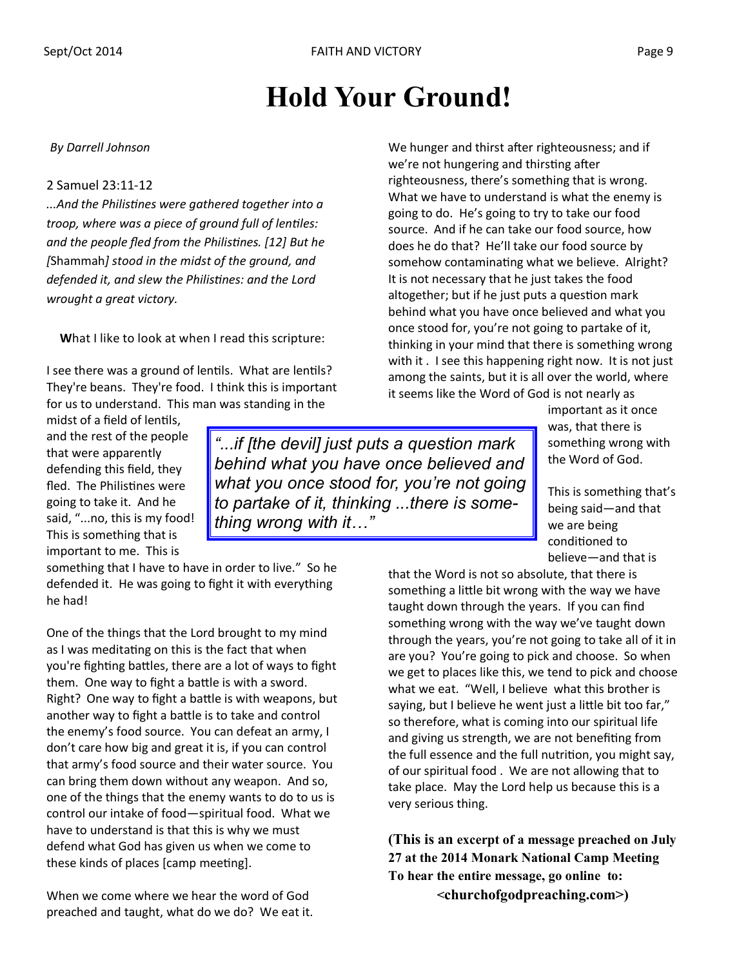## **Hold Your Ground!**

#### *By Darrell Johnson*

#### 2 Samuel 23:11-12

*...And the Philistines were gathered together into a troop, where was a piece of ground full of lentiles: and the people fled from the Philistines. [12] But he [*Shammah*] stood in the midst of the ground, and defended it, and slew the Philistines: and the Lord wrought a great victory.*

**W**hat I like to look at when I read this scripture:

I see there was a ground of lentils. What are lentils? They're beans. They're food. I think this is important for us to understand. This man was standing in the

midst of a field of lentils, and the rest of the people that were apparently defending this field, they fled. The Philistines were going to take it. And he said, "...no, this is my food! This is something that is important to me. This is

*"...if [the devil] just puts a question mark behind what you have once believed and what you once stood for, you're not going to partake of it, thinking ...there is something wrong with it…"* 

something that I have to have in order to live." So he defended it. He was going to fight it with everything he had!

One of the things that the Lord brought to my mind as I was meditating on this is the fact that when you're fighting battles, there are a lot of ways to fight them. One way to fight a battle is with a sword. Right? One way to fight a battle is with weapons, but another way to fight a battle is to take and control the enemy's food source. You can defeat an army, I don't care how big and great it is, if you can control that army's food source and their water source. You can bring them down without any weapon. And so, one of the things that the enemy wants to do to us is control our intake of food—spiritual food. What we have to understand is that this is why we must defend what God has given us when we come to these kinds of places [camp meeting].

When we come where we hear the word of God preached and taught, what do we do? We eat it. We hunger and thirst after righteousness; and if we're not hungering and thirsting after righteousness, there's something that is wrong. What we have to understand is what the enemy is going to do. He's going to try to take our food source. And if he can take our food source, how does he do that? He'll take our food source by somehow contaminating what we believe. Alright? It is not necessary that he just takes the food altogether; but if he just puts a question mark behind what you have once believed and what you once stood for, you're not going to partake of it, thinking in your mind that there is something wrong with it . I see this happening right now. It is not just among the saints, but it is all over the world, where it seems like the Word of God is not nearly as

> important as it once was, that there is something wrong with the Word of God.

This is something that's being said—and that we are being conditioned to believe—and that is

that the Word is not so absolute, that there is something a little bit wrong with the way we have taught down through the years. If you can find something wrong with the way we've taught down through the years, you're not going to take all of it in are you? You're going to pick and choose. So when we get to places like this, we tend to pick and choose what we eat. "Well, I believe what this brother is saying, but I believe he went just a little bit too far," so therefore, what is coming into our spiritual life and giving us strength, we are not benefiting from the full essence and the full nutrition, you might say, of our spiritual food . We are not allowing that to take place. May the Lord help us because this is a very serious thing.

**(This is an excerpt of a message preached on July 27 at the 2014 Monark National Camp Meeting To hear the entire message, go online to: <churchofgodpreaching.com>)**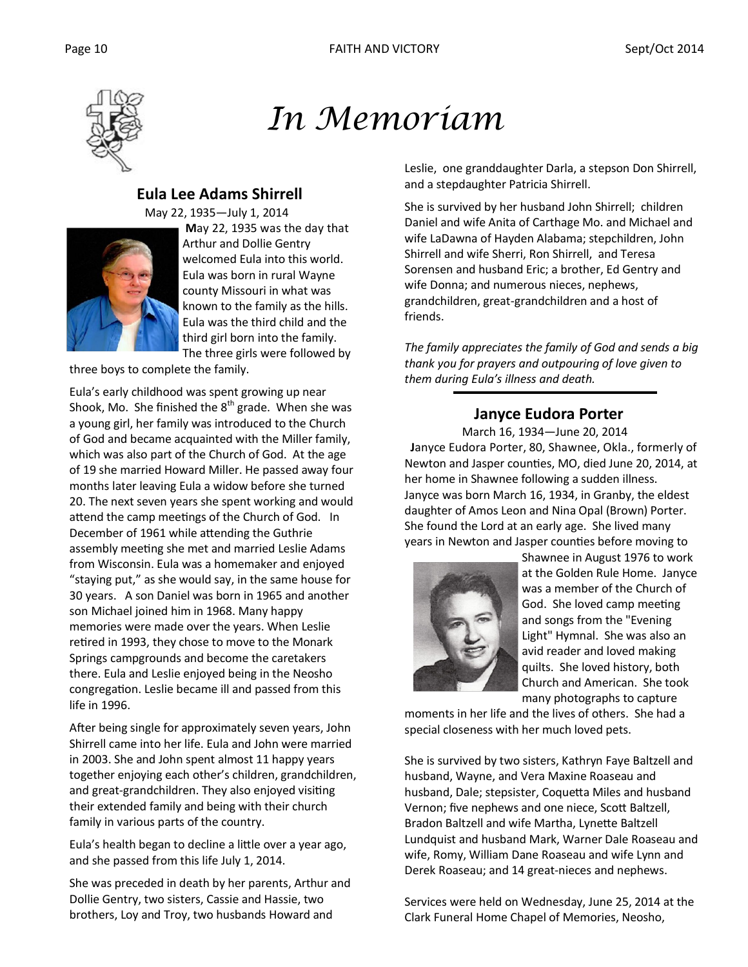

*In Memoriam* 

#### **Eula Lee Adams Shirrell**

May 22, 1935—July 1, 2014



**M**ay 22, 1935 was the day that Arthur and Dollie Gentry welcomed Eula into this world. Eula was born in rural Wayne county Missouri in what was known to the family as the hills. Eula was the third child and the third girl born into the family. The three girls were followed by

three boys to complete the family.

Eula's early childhood was spent growing up near Shook, Mo. She finished the  $8<sup>th</sup>$  grade. When she was a young girl, her family was introduced to the Church of God and became acquainted with the Miller family, which was also part of the Church of God. At the age of 19 she married Howard Miller. He passed away four months later leaving Eula a widow before she turned 20. The next seven years she spent working and would attend the camp meetings of the Church of God. In December of 1961 while attending the Guthrie assembly meeting she met and married Leslie Adams from Wisconsin. Eula was a homemaker and enjoyed "staying put," as she would say, in the same house for 30 years. A son Daniel was born in 1965 and another son Michael joined him in 1968. Many happy memories were made over the years. When Leslie retired in 1993, they chose to move to the Monark Springs campgrounds and become the caretakers there. Eula and Leslie enjoyed being in the Neosho congregation. Leslie became ill and passed from this life in 1996.

After being single for approximately seven years, John Shirrell came into her life. Eula and John were married in 2003. She and John spent almost 11 happy years together enjoying each other's children, grandchildren, and great-grandchildren. They also enjoyed visiting their extended family and being with their church family in various parts of the country.

Eula's health began to decline a little over a year ago, and she passed from this life July 1, 2014.

She was preceded in death by her parents, Arthur and Dollie Gentry, two sisters, Cassie and Hassie, two brothers, Loy and Troy, two husbands Howard and

Leslie, one granddaughter Darla, a stepson Don Shirrell, and a stepdaughter Patricia Shirrell.

She is survived by her husband John Shirrell; children Daniel and wife Anita of Carthage Mo. and Michael and wife LaDawna of Hayden Alabama; stepchildren, John Shirrell and wife Sherri, Ron Shirrell, and Teresa Sorensen and husband Eric; a brother, Ed Gentry and wife Donna; and numerous nieces, nephews, grandchildren, great-grandchildren and a host of friends.

*The family appreciates the family of God and sends a big thank you for prayers and outpouring of love given to them during Eula's illness and death.* 

#### **Janyce Eudora Porter**

 March 16, 1934—June 20, 2014  **J**anyce Eudora Porter, 80, Shawnee, Okla., formerly of Newton and Jasper counties, MO, died June 20, 2014, at her home in Shawnee following a sudden illness. Janyce was born March 16, 1934, in Granby, the eldest daughter of Amos Leon and Nina Opal (Brown) Porter. She found the Lord at an early age. She lived many years in Newton and Jasper counties before moving to



Shawnee in August 1976 to work at the Golden Rule Home. Janyce was a member of the Church of God. She loved camp meeting and songs from the "Evening Light" Hymnal. She was also an avid reader and loved making quilts. She loved history, both Church and American. She took many photographs to capture

moments in her life and the lives of others. She had a special closeness with her much loved pets.

She is survived by two sisters, Kathryn Faye Baltzell and husband, Wayne, and Vera Maxine Roaseau and husband, Dale; stepsister, Coquetta Miles and husband Vernon; five nephews and one niece, Scott Baltzell, Bradon Baltzell and wife Martha, Lynette Baltzell Lundquist and husband Mark, Warner Dale Roaseau and wife, Romy, William Dane Roaseau and wife Lynn and Derek Roaseau; and 14 great-nieces and nephews.

Services were held on Wednesday, June 25, 2014 at the Clark Funeral Home Chapel of Memories, Neosho,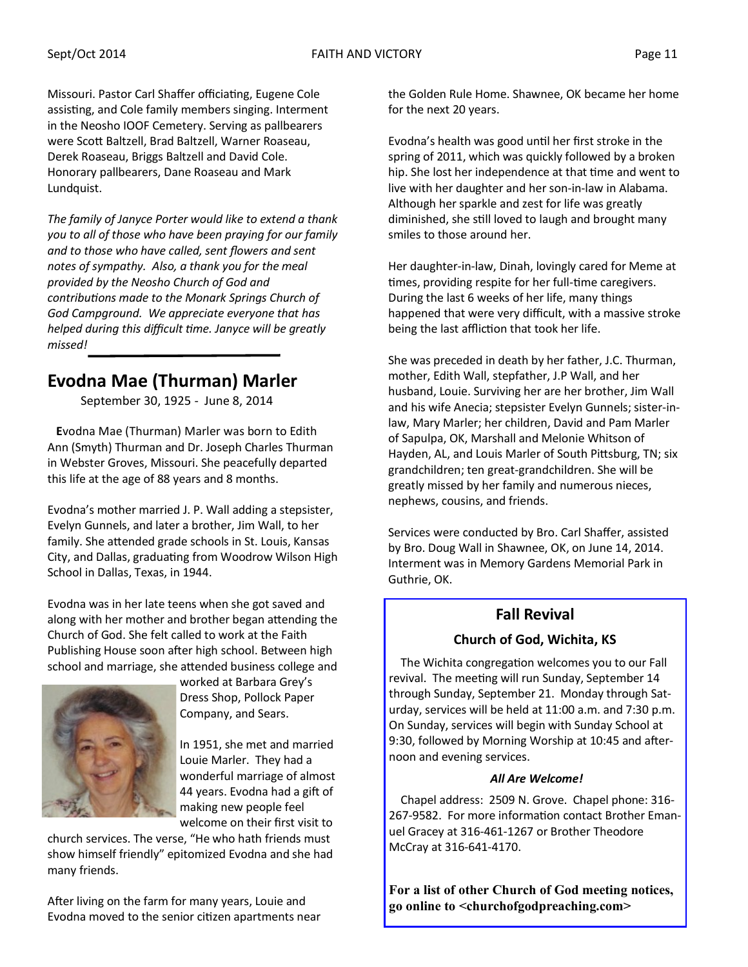Missouri. Pastor Carl Shaffer officiating, Eugene Cole assisting, and Cole family members singing. Interment in the Neosho IOOF Cemetery. Serving as pallbearers were Scott Baltzell, Brad Baltzell, Warner Roaseau, Derek Roaseau, Briggs Baltzell and David Cole. Honorary pallbearers, Dane Roaseau and Mark Lundquist.

*The family of Janyce Porter would like to extend a thank you to all of those who have been praying for our family and to those who have called, sent flowers and sent notes of sympathy. Also, a thank you for the meal provided by the Neosho Church of God and contributions made to the Monark Springs Church of God Campground. We appreciate everyone that has helped during this difficult time. Janyce will be greatly missed!*

### **Evodna Mae (Thurman) Marler**

September 30, 1925 - June 8, 2014

 **E**vodna Mae (Thurman) Marler was born to Edith Ann (Smyth) Thurman and Dr. Joseph Charles Thurman in Webster Groves, Missouri. She peacefully departed this life at the age of 88 years and 8 months.

Evodna's mother married J. P. Wall adding a stepsister, Evelyn Gunnels, and later a brother, Jim Wall, to her family. She attended grade schools in St. Louis, Kansas City, and Dallas, graduating from Woodrow Wilson High School in Dallas, Texas, in 1944.

Evodna was in her late teens when she got saved and along with her mother and brother began attending the Church of God. She felt called to work at the Faith Publishing House soon after high school. Between high school and marriage, she attended business college and



worked at Barbara Grey's Dress Shop, Pollock Paper Company, and Sears.

In 1951, she met and married Louie Marler. They had a wonderful marriage of almost 44 years. Evodna had a gift of making new people feel welcome on their first visit to

church services. The verse, "He who hath friends must show himself friendly" epitomized Evodna and she had many friends.

After living on the farm for many years, Louie and Evodna moved to the senior citizen apartments near the Golden Rule Home. Shawnee, OK became her home for the next 20 years.

Evodna's health was good until her first stroke in the spring of 2011, which was quickly followed by a broken hip. She lost her independence at that time and went to live with her daughter and her son-in-law in Alabama. Although her sparkle and zest for life was greatly diminished, she still loved to laugh and brought many smiles to those around her.

Her daughter-in-law, Dinah, lovingly cared for Meme at times, providing respite for her full-time caregivers. During the last 6 weeks of her life, many things happened that were very difficult, with a massive stroke being the last affliction that took her life.

She was preceded in death by her father, J.C. Thurman, mother, Edith Wall, stepfather, J.P Wall, and her husband, Louie. Surviving her are her brother, Jim Wall and his wife Anecia; stepsister Evelyn Gunnels; sister-inlaw, Mary Marler; her children, David and Pam Marler of Sapulpa, OK, Marshall and Melonie Whitson of Hayden, AL, and Louis Marler of South Pittsburg, TN; six grandchildren; ten great-grandchildren. She will be greatly missed by her family and numerous nieces, nephews, cousins, and friends.

Services were conducted by Bro. Carl Shaffer, assisted by Bro. Doug Wall in Shawnee, OK, on June 14, 2014. Interment was in Memory Gardens Memorial Park in Guthrie, OK.

#### **Fall Revival**

#### **Church of God, Wichita, KS**

 The Wichita congregation welcomes you to our Fall revival. The meeting will run Sunday, September 14 through Sunday, September 21. Monday through Saturday, services will be held at 11:00 a.m. and 7:30 p.m. On Sunday, services will begin with Sunday School at 9:30, followed by Morning Worship at 10:45 and afternoon and evening services.

#### *All Are Welcome!*

 Chapel address: 2509 N. Grove. Chapel phone: 316- 267-9582. For more information contact Brother Emanuel Gracey at 316-461-1267 or Brother Theodore McCray at 316-641-4170.

**For a list of other Church of God meeting notices, go online to <churchofgodpreaching.com>**